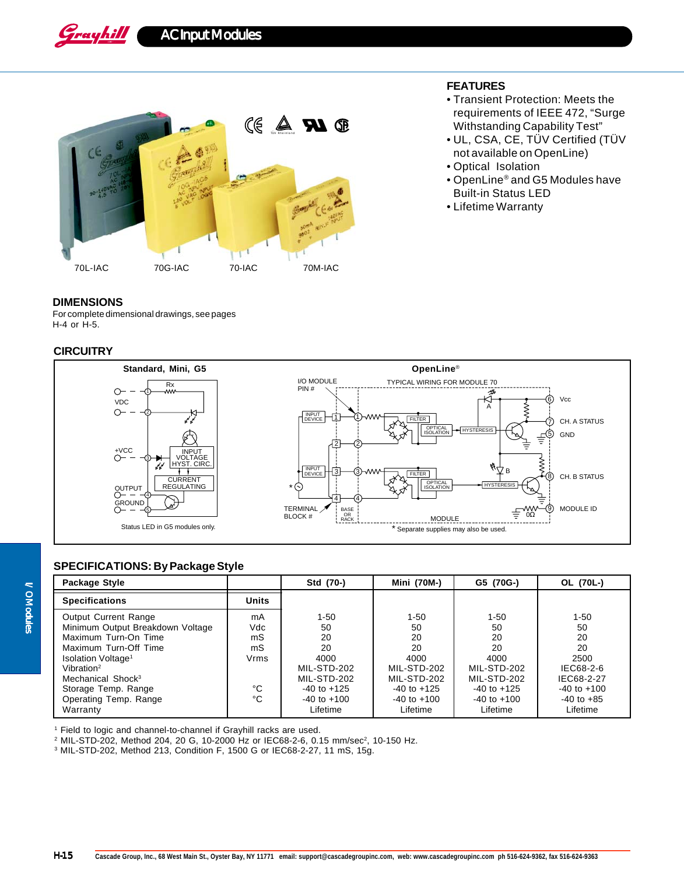Grayhill AC Input Modules



## **FEATURES**

- Transient Protection: Meets the requirements of IEEE 472, "Surge Withstanding Capability Test"
- UL, CSA, CE, TÜV Certified (TÜV not available on OpenLine)
- Optical Isolation
- OpenLine® and G5 Modules have Built-in Status LED
- Lifetime Warranty

## **DIMENSIONS**

For complete dimensional drawings, see pages H-4 or H-5.

## **CIRCUITRY**



# **SPECIFICATIONS: By Package Style**

| Package Style                                                                                                                                                                                                                        |                                     | Std (70-)                                                                           | Mini (70M-)                                                                         | G5 (70G-)                                                                           | OL (70L-)                                                                        |
|--------------------------------------------------------------------------------------------------------------------------------------------------------------------------------------------------------------------------------------|-------------------------------------|-------------------------------------------------------------------------------------|-------------------------------------------------------------------------------------|-------------------------------------------------------------------------------------|----------------------------------------------------------------------------------|
| <b>Specifications</b>                                                                                                                                                                                                                | <b>Units</b>                        |                                                                                     |                                                                                     |                                                                                     |                                                                                  |
| <b>Output Current Range</b><br>Minimum Output Breakdown Voltage<br>Maximum Turn-On Time<br>Maximum Turn-Off Time<br>Isolation Voltage <sup>1</sup><br>Vibration <sup>2</sup><br>Mechanical Shock <sup>3</sup><br>Storage Temp. Range | mA<br>Vdc<br>mS<br>mS<br>Vrms<br>°C | $1 - 50$<br>50<br>20<br>20<br>4000<br>MIL-STD-202<br>MIL-STD-202<br>$-40$ to $+125$ | $1 - 50$<br>50<br>20<br>20<br>4000<br>MIL-STD-202<br>MIL-STD-202<br>$-40$ to $+125$ | $1 - 50$<br>50<br>20<br>20<br>4000<br>MIL-STD-202<br>MIL-STD-202<br>$-40$ to $+125$ | $1 - 50$<br>50<br>20<br>20<br>2500<br>IEC68-2-6<br>IEC68-2-27<br>$-40$ to $+100$ |
| Operating Temp. Range<br>Warranty                                                                                                                                                                                                    | °C                                  | $-40$ to $+100$<br>Lifetime                                                         | $-40$ to $+100$<br>Lifetime                                                         | $-40$ to $+100$<br>Lifetime                                                         | $-40$ to $+85$<br>Lifetime                                                       |

<sup>1</sup> Field to logic and channel-to-channel if Grayhill racks are used.

 $^2$  MIL-STD-202, Method 204, 20 G, 10-2000 Hz or IEC68-2-6, 0.15 mm/sec $^2$ , 10-150 Hz.

3 MIL-STD-202, Method 213, Condition F, 1500 G or IEC68-2-27, 11 mS, 15g.